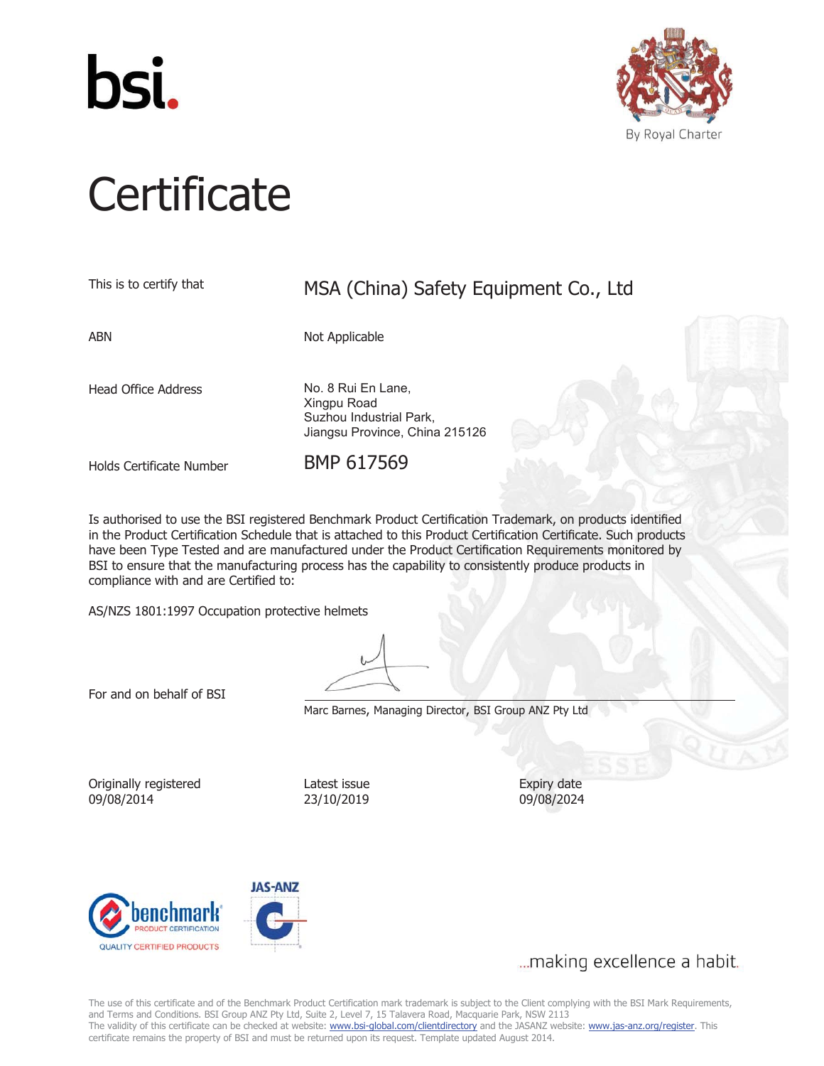



## **Certificate**

| This is to certify that    | MSA (China) Safety Equipment Co., Ltd                                                          |  |
|----------------------------|------------------------------------------------------------------------------------------------|--|
| <b>ABN</b>                 | Not Applicable                                                                                 |  |
| <b>Head Office Address</b> | No. 8 Rui En Lane,<br>Xingpu Road<br>Suzhou Industrial Park,<br>Jiangsu Province, China 215126 |  |
| Holds Certificate Number   | BMP 617569                                                                                     |  |

Is authorised to use the BSI registered Benchmark Product Certification Trademark, on products identified in the Product Certification Schedule that is attached to this Product Certification Certificate. Such products have been Type Tested and are manufactured under the Product Certification Requirements monitored by BSI to ensure that the manufacturing process has the capability to consistently produce products in compliance with and are Certified to:

AS/NZS 1801:1997 Occupation protective helmets

For and on behalf of BSI

Marc Barnes, Managing Director, BSI Group ANZ Pty Ltd

Originally registered 09/08/2014

Latest issue 23/10/2019

Expiry date 09/08/2024





... making excellence a habit.

The use of this certificate and of the Benchmark Product Certification mark trademark is subject to the Client complying with the BSI Mark Requirements, and Terms and Conditions. BSI Group ANZ Pty Ltd, Suite 2, Level 7, 15 Talavera Road, Macquarie Park, NSW 2113 The validity of this certificate can be checked at website: www.bsi-global.com/clientdirectory and the JASANZ website: www.jas-anz.org/register. This certificate remains the property of BSI and must be returned upon its request. Template updated August 2014.